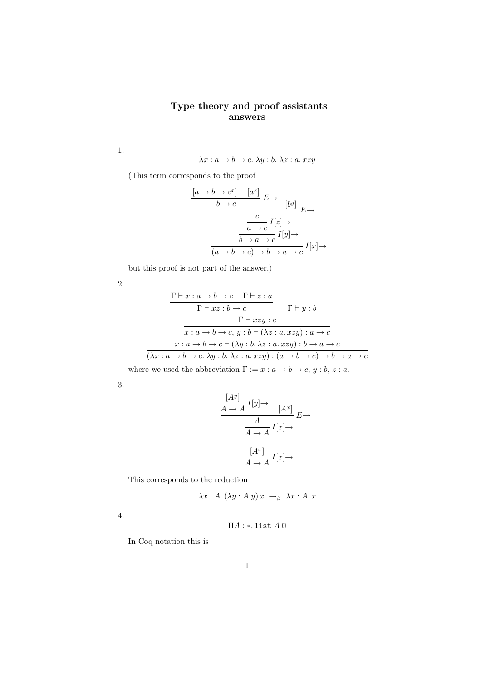## Type theory and proof assistants answers

1.

$$
\lambda x : a \to b \to c. \ \lambda y : b. \ \lambda z : a. \ xzy
$$

(This term corresponds to the proof

$$
\frac{[a \to b \to c^x] \quad [a^z]}{b \to c} \quad E \to \qquad [b^y]}{c \to c} \quad E \to \qquad E \to \qquad E \to \qquad E \to \qquad E \to \qquad E \to \qquad E \to \qquad E \to \qquad E \to \qquad E \to \qquad E \to \qquad E \to \qquad E \to \qquad E \to \qquad E \to \qquad E \to \qquad E \to \qquad E \to \qquad E \to \qquad E \to \qquad E \to \qquad E \to \qquad E \to \qquad E \to \qquad E \to \qquad E \to \qquad E \to \qquad E \to \qquad E \to \qquad E \to \qquad E \to \qquad E \to \qquad E \to \qquad E \to \qquad E \to \qquad E \to \qquad E \to \qquad E \to \qquad E \to \qquad E \to \qquad E \to \qquad E \to \qquad E \to \qquad E \to \qquad E \to \qquad E \to \qquad E \to \qquad E \to \qquad E \to \qquad E \to \qquad E \to \qquad E \to \qquad E \to \qquad E \to \qquad E \to \qquad E \to \qquad E \to \qquad E \to \qquad E \to \qquad E \to \qquad E \to \qquad E \to \qquad E \to \qquad E \to \qquad E \to \qquad E \to \qquad E \to \qquad E \to \qquad E \to \qquad E \to \qquad E \to \qquad E \to \qquad E \to \qquad E \to \qquad E \to \qquad E \to \qquad E \to \qquad E \to \qquad E \to \qquad E \to \qquad E \to \qquad E \to \qquad E \to \qquad E \to \qquad E \to \qquad E \to \qquad E \to \qquad E \to \qquad E \to \qquad E \to \qquad E \to \qquad E \to \qquad E \to \qquad E \to \qquad E \to \qquad E \to \qquad E \to \qquad E \to \qquad E \to \qquad E \to \qquad E \to \qquad E \to \qquad E \to \qquad E \to \qquad E \to \qquad E \to \qquad E \to \qquad E \to \qquad E \to \qquad E \to \qquad E \to \qquad E \to \qquad E \to \qquad E \to \qquad E \to \qquad E \to \qquad E \to \qquad E \to \qquad E \to \
$$

but this proof is not part of the answer.)

2.

$$
\frac{\Gamma \vdash x : a \to b \to c \quad \Gamma \vdash z : a}{\Gamma \vdash xz : b \to c \qquad \Gamma \vdash y : b}
$$
\n
$$
\frac{\Gamma \vdash xzy : c}{x : a \to b \to c, y : b \vdash (\lambda z : a.xzy) : a \to c}
$$
\n
$$
\overline{x : a \to b \to c \vdash (\lambda y : b. \lambda z : a.xzy) : b \to a \to c}
$$
\n
$$
(\lambda x : a \to b \to c. \lambda y : b. \lambda z : a.xzy) : (a \to b \to c) \to b \to a \to c
$$

where we used the abbreviation  $\Gamma := x : a \to b \to c, y : b, z : a$ .

3.

$$
\frac{[A^y]}{A \to A} I[y] \to [A^x] \xrightarrow[A \to A]{} I[x] \to
$$

$$
\frac{A}{A \to A} I[x] \to
$$

$$
\frac{[A^x]}{A \to A} I[x] \to
$$

This corresponds to the reduction

$$
\lambda x:A.(\lambda y:A.y)x \rightarrow_{\beta} \lambda x:A.x
$$

4.

$$
\Pi A:*,\text{list }A\ \mathbf{0}
$$

In Coq notation this is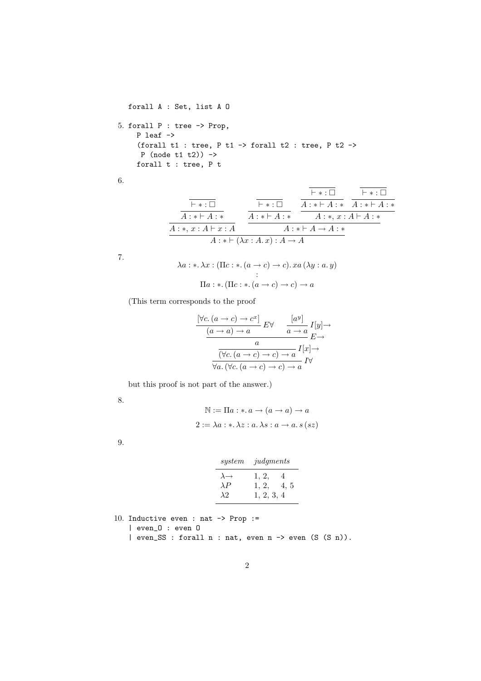```
forall A : Set, list A O
5. forall P : tree -> Prop,
    P leaf ->
    (forall t1 : tree, P t1 -> forall t2 : tree, P t2 ->
     P (node t1 t2) ->
    forall t : tree, P t
```
6.

$$
\begin{array}{c|c|c|c|c|c|c|c|c} \hline \overline{\vdash * : \Box} & & \overline{\vdash * : \Box} & & \overline{\vdash * : \Box} \\ \hline A: * \vdash A: * & & A: * \vdash A: * & A: * \vdash A: * \\ \hline A: * , x: A \vdash x: A & & A: * \vdash A \rightarrow A: * \\ & & A: * \vdash (\lambda x: A.x): A \rightarrow A & & \end{array}
$$

7.

$$
\lambda a: \lambda x: (\Pi c: \lambda a \to c) \to c). xa (\lambda y: a. y)
$$

$$
\vdots
$$

$$
\Pi a: \lambda ( \Pi c: \lambda a \to c) \to c ) \to a
$$

(This term corresponds to the proof

$$
\frac{\forall c. (a \to c) \to c^x]}{(a \to a) \to a} E \forall \frac{[a^y]}{a \to a} I[y] \to
$$

$$
\frac{a}{\forall c. (a \to c) \to c) \to a} I[x] \to
$$

$$
\frac{a}{\forall a. (\forall c. (a \to c) \to c) \to a} I \forall
$$

but this proof is not part of the answer.)

8.

$$
\mathbb{N} := \Pi a : * a \to (a \to a) \to a
$$

$$
2 := \lambda a : * \lambda z : a \cdot \lambda s : a \to a s (sz)
$$

9.

| system                                              | judgments                                 |
|-----------------------------------------------------|-------------------------------------------|
| $\lambda \rightarrow$<br>$\lambda P$<br>$\lambda$ 2 | 1, 2,<br>4<br>1, 2,<br>4, 5<br>1, 2, 3, 4 |

```
10. Inductive even : nat -> Prop :=
   | even_O : even O
   | even_SS : forall n : nat, even n -> even (S (S n)).
```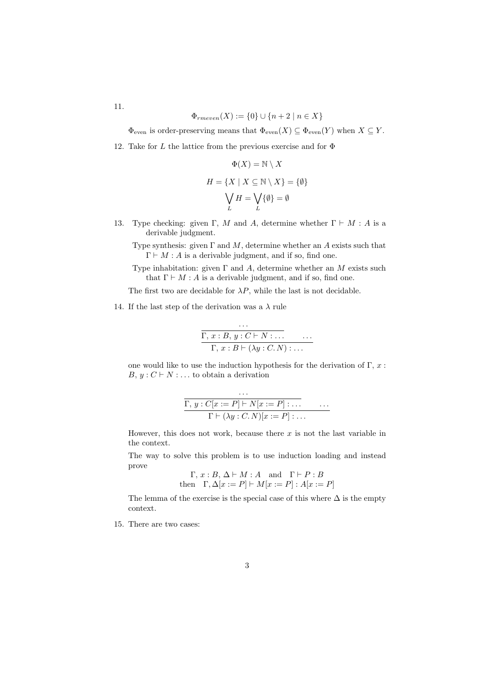$$
11.
$$

$$
\Phi_{rmeven}(X) := \{0\} \cup \{n+2 \mid n \in X\}
$$

 $\Phi_{\text{even}}$  is order-preserving means that  $\Phi_{\text{even}}(X) \subseteq \Phi_{\text{even}}(Y)$  when  $X \subseteq Y$ .

12. Take for L the lattice from the previous exercise and for  $\Phi$ 

$$
\Phi(X) = \mathbb{N} \setminus X
$$

$$
H = \{ X \mid X \subseteq \mathbb{N} \setminus X \} = \{ \emptyset \}
$$

$$
\bigvee_{L} H = \bigvee_{L} \{ \emptyset \} = \emptyset
$$

- 13. Type checking: given Γ, M and A, determine whether  $\Gamma \vdash M : A$  is a derivable judgment.
	- Type synthesis: given  $\Gamma$  and  $M$ , determine whether an A exists such that  $\Gamma \vdash M : A$  is a derivable judgment, and if so, find one.

Type inhabitation: given  $\Gamma$  and  $A$ , determine whether an  $M$  exists such that  $\Gamma \vdash M : A$  is a derivable judgment, and if so, find one.

The first two are decidable for  $\lambda P$ , while the last is not decidable.

14. If the last step of the derivation was a  $\lambda$  rule

$$
\cdots
$$
  
\n
$$
\overbrace{\Gamma, x : B, y : C \vdash N : \dots \atop \Gamma, x : B \vdash (\lambda y : C. N) : \dots}
$$

one would like to use the induction hypothesis for the derivation of  $\Gamma$ , x:  $B, y: C \vdash N : \dots$  to obtain a derivation

$$
\frac{\cdots}{\Gamma, y : C[x := P] \vdash N[x := P] \cdots \cdots}
$$
  
\n
$$
\Gamma \vdash (\lambda y : C.N)[x := P] \cdots
$$

However, this does not work, because there  $x$  is not the last variable in the context.

The way to solve this problem is to use induction loading and instead prove

$$
\Gamma, x : B, \Delta \vdash M : A \text{ and } \Gamma \vdash P : B
$$
  
then 
$$
\Gamma, \Delta[x := P] \vdash M[x := P] : A[x := P]
$$

The lemma of the exercise is the special case of this where  $\Delta$  is the empty context.

15. There are two cases: